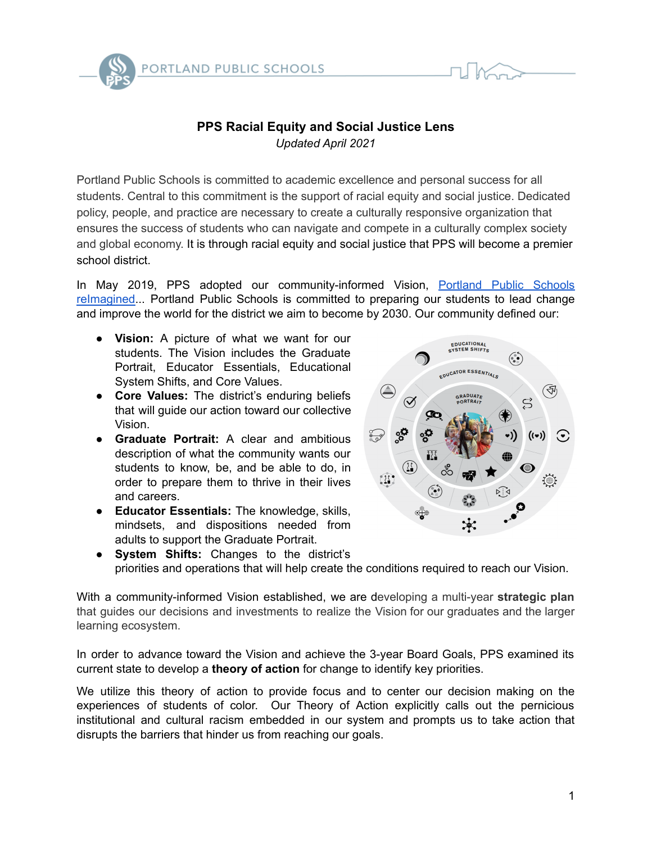

# **PPS Racial Equity and Social Justice Lens** *Updated April 2021*

Portland Public Schools is committed to academic excellence and personal success for all students. Central to this commitment is the support of racial equity and social justice. Dedicated policy, people, and practice are necessary to create a culturally responsive organization that ensures the success of students who can navigate and compete in a culturally complex society and global economy. It is through racial equity and social justice that PPS will become a premier school district.

In May 2019, PPS adopted our community-informed Vision, [Portland](https://www.pps.net/visioning) Public Schools [reImagined...](https://www.pps.net/visioning) Portland Public Schools is committed to preparing our students to lead change and improve the world for the district we aim to become by 2030. Our community defined our:

- **Vision:** A picture of what we want for our students. The Vision includes the Graduate Portrait, Educator Essentials, Educational System Shifts, and Core Values.
- **Core Values:** The district's enduring beliefs that will guide our action toward our collective Vision.
- **Graduate Portrait:** A clear and ambitious description of what the community wants our students to know, be, and be able to do, in order to prepare them to thrive in their lives and careers.
- **Educator Essentials:** The knowledge, skills, mindsets, and dispositions needed from adults to support the Graduate Portrait.



● **System Shifts:** Changes to the district's priorities and operations that will help create the conditions required to reach our Vision.

With a community-informed Vision established, we are developing a multi-year **strategic plan** that guides our decisions and investments to realize the Vision for our graduates and the larger learning ecosystem.

In order to advance toward the Vision and achieve the 3-year Board Goals, PPS examined its current state to develop a **theory of action** for change to identify key priorities.

We utilize this theory of action to provide focus and to center our decision making on the experiences of students of color. Our Theory of Action explicitly calls out the pernicious institutional and cultural racism embedded in our system and prompts us to take action that disrupts the barriers that hinder us from reaching our goals.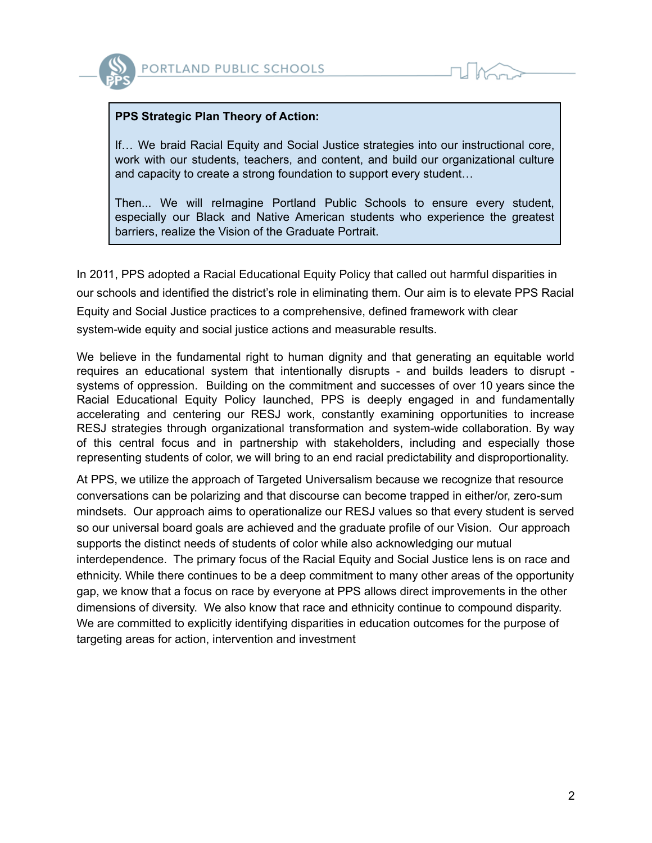

### **PPS Strategic Plan Theory of Action:**

If… We braid Racial Equity and Social Justice strategies into our instructional core, work with our students, teachers, and content, and build our organizational culture and capacity to create a strong foundation to support every student…

Then... We will reImagine Portland Public Schools to ensure every student, especially our Black and Native American students who experience the greatest barriers, realize the Vision of the Graduate Portrait.

In 2011, PPS adopted a Racial Educational Equity Policy that called out harmful disparities in our schools and identified the district's role in eliminating them. Our aim is to elevate PPS Racial Equity and Social Justice practices to a comprehensive, defined framework with clear system-wide equity and social justice actions and measurable results.

We believe in the fundamental right to human dignity and that generating an equitable world requires an educational system that intentionally disrupts - and builds leaders to disrupt systems of oppression. Building on the commitment and successes of over 10 years since the Racial Educational Equity Policy launched, PPS is deeply engaged in and fundamentally accelerating and centering our RESJ work, constantly examining opportunities to increase RESJ strategies through organizational transformation and system-wide collaboration. By way of this central focus and in partnership with stakeholders, including and especially those representing students of color, we will bring to an end racial predictability and disproportionality.

At PPS, we utilize the approach of Targeted Universalism because we recognize that resource conversations can be polarizing and that discourse can become trapped in either/or, zero-sum mindsets. Our approach aims to operationalize our RESJ values so that every student is served so our universal board goals are achieved and the graduate profile of our Vision. Our approach supports the distinct needs of students of color while also acknowledging our mutual interdependence. The primary focus of the Racial Equity and Social Justice lens is on race and ethnicity. While there continues to be a deep commitment to many other areas of the opportunity gap, we know that a focus on race by everyone at PPS allows direct improvements in the other dimensions of diversity. We also know that race and ethnicity continue to compound disparity. We are committed to explicitly identifying disparities in education outcomes for the purpose of targeting areas for action, intervention and investment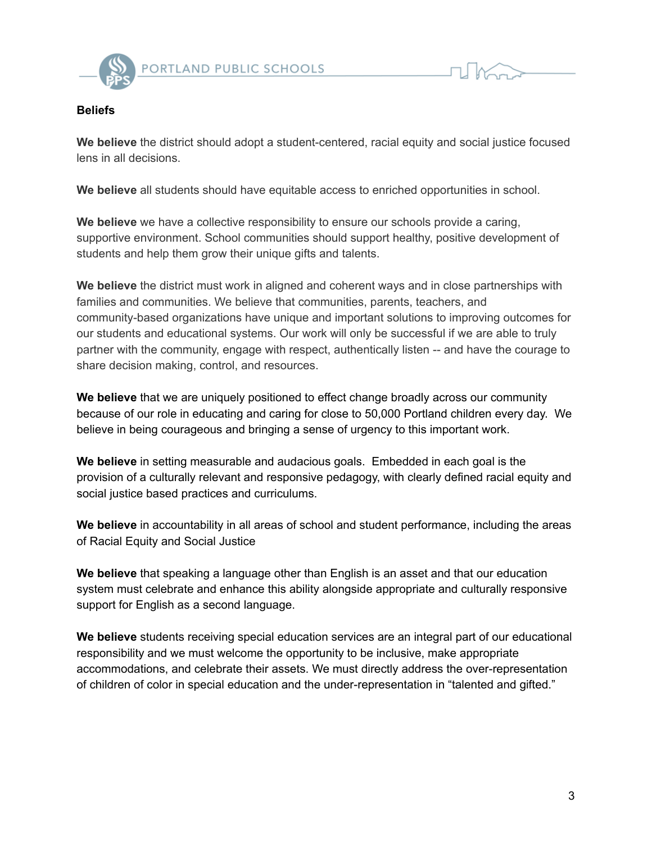

#### **Beliefs**

**We believe** the district should adopt a student-centered, racial equity and social justice focused lens in all decisions.

**We believe** all students should have equitable access to enriched opportunities in school.

**We believe** we have a collective responsibility to ensure our schools provide a caring, supportive environment. School communities should support healthy, positive development of students and help them grow their unique gifts and talents.

**We believe** the district must work in aligned and coherent ways and in close partnerships with families and communities. We believe that communities, parents, teachers, and community-based organizations have unique and important solutions to improving outcomes for our students and educational systems. Our work will only be successful if we are able to truly partner with the community, engage with respect, authentically listen -- and have the courage to share decision making, control, and resources.

**We believe** that we are uniquely positioned to effect change broadly across our community because of our role in educating and caring for close to 50,000 Portland children every day. We believe in being courageous and bringing a sense of urgency to this important work.

**We believe** in setting measurable and audacious goals. Embedded in each goal is the provision of a culturally relevant and responsive pedagogy, with clearly defined racial equity and social justice based practices and curriculums.

**We believe** in accountability in all areas of school and student performance, including the areas of Racial Equity and Social Justice

**We believe** that speaking a language other than English is an asset and that our education system must celebrate and enhance this ability alongside appropriate and culturally responsive support for English as a second language.

**We believe** students receiving special education services are an integral part of our educational responsibility and we must welcome the opportunity to be inclusive, make appropriate accommodations, and celebrate their assets. We must directly address the over-representation of children of color in special education and the under-representation in "talented and gifted."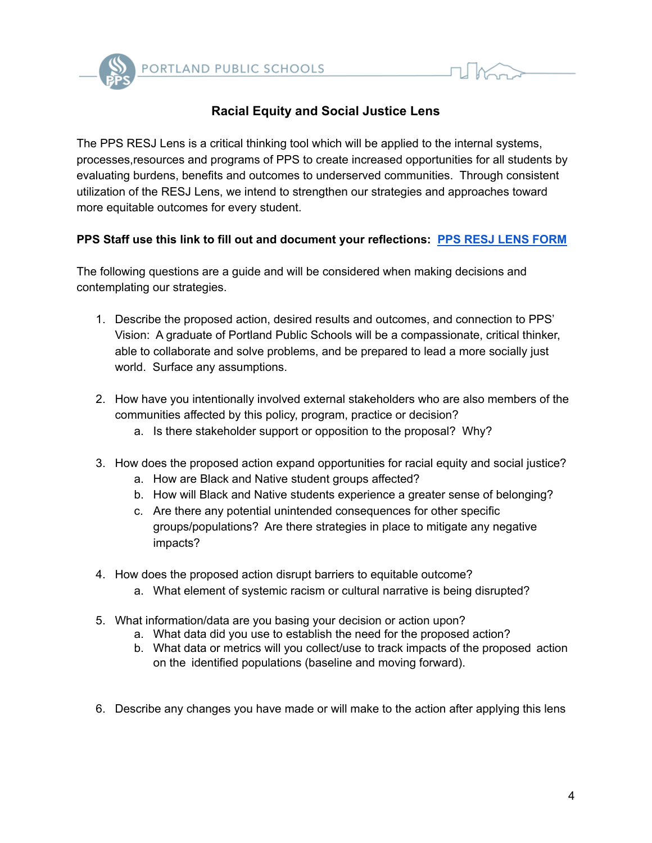

## **Racial Equity and Social Justice Lens**

The PPS RESJ Lens is a critical thinking tool which will be applied to the internal systems, processes,resources and programs of PPS to create increased opportunities for all students by evaluating burdens, benefits and outcomes to underserved communities. Through consistent utilization of the RESJ Lens, we intend to strengthen our strategies and approaches toward more equitable outcomes for every student.

## **PPS Staff use this link to fill out and document your reflections: PPS RESJ LENS [FORM](https://docs.google.com/forms/d/e/1FAIpQLSf4e5ULhjGpYxzf1iHZHFiaW9N3YSeVLdDB8laXG__wtL1OpQ/viewform?usp=sf_link)**

The following questions are a guide and will be considered when making decisions and contemplating our strategies.

- 1. Describe the proposed action, desired results and outcomes, and connection to PPS' Vision: A graduate of Portland Public Schools will be a compassionate, critical thinker, able to collaborate and solve problems, and be prepared to lead a more socially just world. Surface any assumptions.
- 2. How have you intentionally involved external stakeholders who are also members of the communities affected by this policy, program, practice or decision?
	- a. Is there stakeholder support or opposition to the proposal? Why?
- 3. How does the proposed action expand opportunities for racial equity and social justice?
	- a. How are Black and Native student groups affected?
	- b. How will Black and Native students experience a greater sense of belonging?
	- c. Are there any potential unintended consequences for other specific groups/populations? Are there strategies in place to mitigate any negative impacts?
- 4. How does the proposed action disrupt barriers to equitable outcome?
	- a. What element of systemic racism or cultural narrative is being disrupted?
- 5. What information/data are you basing your decision or action upon?
	- a. What data did you use to establish the need for the proposed action?
	- b. What data or metrics will you collect/use to track impacts of the proposed action on the identified populations (baseline and moving forward).
- 6. Describe any changes you have made or will make to the action after applying this lens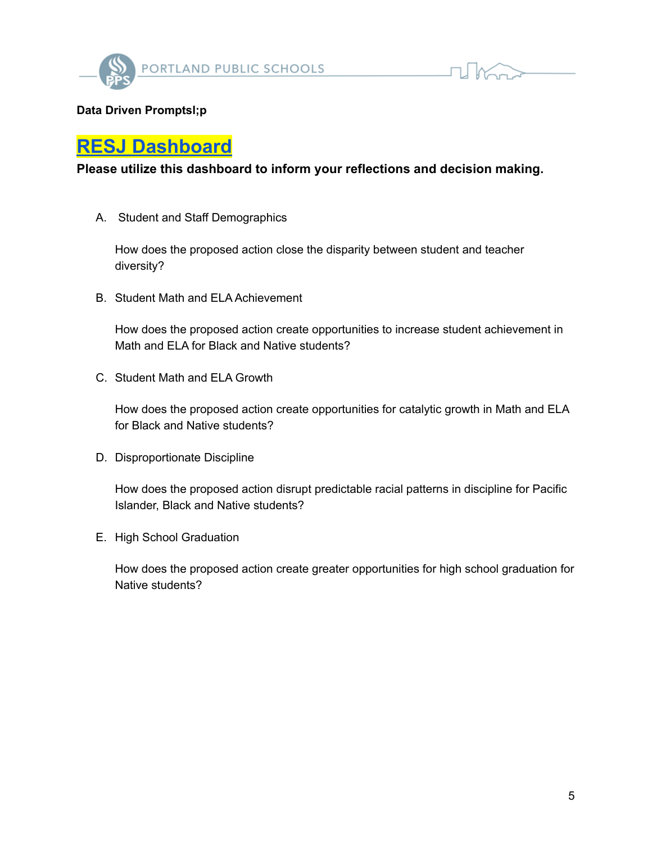



# **[RESJ Dashboard](https://colab.research.google.com/drive/1TnlZzxCngweZbvadtL8aEZVN3QF7lH3r)**

## **Please utilize this dashboard to inform your reflections and decision making.**

A. Student and Staff Demographics

How does the proposed action close the disparity between student and teacher diversity?

B. Student Math and ELA Achievement

How does the proposed action create opportunities to increase student achievement in Math and ELA for Black and Native students?

C. Student Math and ELA Growth

How does the proposed action create opportunities for catalytic growth in Math and ELA for Black and Native students?

D. Disproportionate Discipline

How does the proposed action disrupt predictable racial patterns in discipline for Pacific Islander, Black and Native students?

E. High School Graduation

How does the proposed action create greater opportunities for high school graduation for Native students?